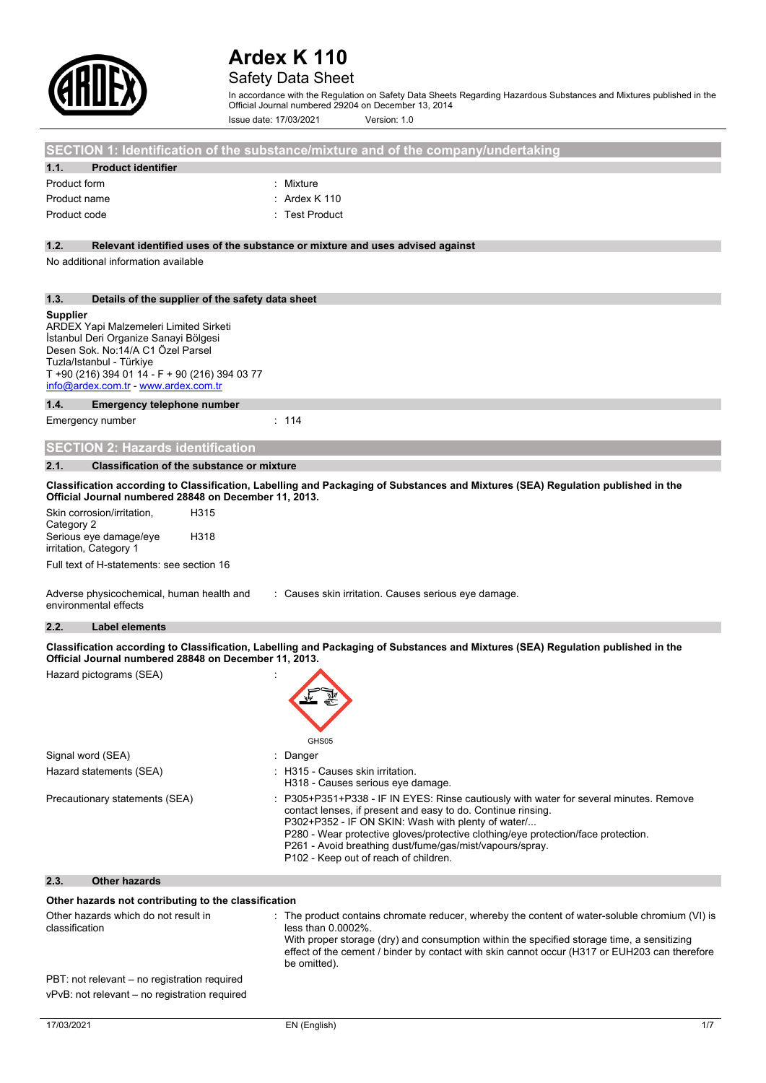

### Safety Data Sheet

In accordance with the Regulation on Safety Data Sheets Regarding Hazardous Substances and Mixtures published in the Official Journal numbered 29204 on December 13, 2014

Issue date: 17/03/2021 Version: 1.0

|                                                                                                                                                                                                                       | SECTION 1: Identification of the substance/mixture and of the company/undertaking                                                                                                                                                                                                                                                                                                                    |
|-----------------------------------------------------------------------------------------------------------------------------------------------------------------------------------------------------------------------|------------------------------------------------------------------------------------------------------------------------------------------------------------------------------------------------------------------------------------------------------------------------------------------------------------------------------------------------------------------------------------------------------|
| 1.1.<br><b>Product identifier</b>                                                                                                                                                                                     |                                                                                                                                                                                                                                                                                                                                                                                                      |
| Product form                                                                                                                                                                                                          | : Mixture                                                                                                                                                                                                                                                                                                                                                                                            |
| Product name                                                                                                                                                                                                          | Ardex K 110                                                                                                                                                                                                                                                                                                                                                                                          |
| Product code                                                                                                                                                                                                          | : Test Product                                                                                                                                                                                                                                                                                                                                                                                       |
|                                                                                                                                                                                                                       |                                                                                                                                                                                                                                                                                                                                                                                                      |
| 1.2.<br>No additional information available                                                                                                                                                                           | Relevant identified uses of the substance or mixture and uses advised against                                                                                                                                                                                                                                                                                                                        |
|                                                                                                                                                                                                                       |                                                                                                                                                                                                                                                                                                                                                                                                      |
| 1.3.<br>Details of the supplier of the safety data sheet                                                                                                                                                              |                                                                                                                                                                                                                                                                                                                                                                                                      |
| <b>Supplier</b><br>ARDEX Yapi Malzemeleri Limited Sirketi<br>İstanbul Deri Organize Sanayi Bölgesi<br>Desen Sok. No:14/A C1 Özel Parsel<br>Tuzla/Istanbul - Türkiye<br>T +90 (216) 394 01 14 - F + 90 (216) 394 03 77 |                                                                                                                                                                                                                                                                                                                                                                                                      |
| info@ardex.com.tr - www.ardex.com.tr                                                                                                                                                                                  |                                                                                                                                                                                                                                                                                                                                                                                                      |
| 1.4.<br><b>Emergency telephone number</b>                                                                                                                                                                             |                                                                                                                                                                                                                                                                                                                                                                                                      |
| Emergency number                                                                                                                                                                                                      | : 114                                                                                                                                                                                                                                                                                                                                                                                                |
| <b>SECTION 2: Hazards identification</b>                                                                                                                                                                              |                                                                                                                                                                                                                                                                                                                                                                                                      |
| 2.1.<br><b>Classification of the substance or mixture</b>                                                                                                                                                             |                                                                                                                                                                                                                                                                                                                                                                                                      |
| Official Journal numbered 28848 on December 11, 2013.                                                                                                                                                                 | Classification according to Classification, Labelling and Packaging of Substances and Mixtures (SEA) Regulation published in the                                                                                                                                                                                                                                                                     |
| Skin corrosion/irritation,<br>H <sub>315</sub><br>Category 2<br>H318<br>Serious eye damage/eye                                                                                                                        |                                                                                                                                                                                                                                                                                                                                                                                                      |
| irritation, Category 1                                                                                                                                                                                                |                                                                                                                                                                                                                                                                                                                                                                                                      |
| Full text of H-statements: see section 16                                                                                                                                                                             |                                                                                                                                                                                                                                                                                                                                                                                                      |
| Adverse physicochemical, human health and<br>environmental effects                                                                                                                                                    | : Causes skin irritation. Causes serious eye damage.                                                                                                                                                                                                                                                                                                                                                 |
| 2.2.<br>Label elements                                                                                                                                                                                                |                                                                                                                                                                                                                                                                                                                                                                                                      |
| Official Journal numbered 28848 on December 11, 2013.                                                                                                                                                                 | Classification according to Classification, Labelling and Packaging of Substances and Mixtures (SEA) Regulation published in the                                                                                                                                                                                                                                                                     |
| Hazard pictograms (SEA)                                                                                                                                                                                               | GHS05                                                                                                                                                                                                                                                                                                                                                                                                |
| Signal word (SEA)                                                                                                                                                                                                     | ÷<br>Danger                                                                                                                                                                                                                                                                                                                                                                                          |
| Hazard statements (SEA)                                                                                                                                                                                               | : H315 - Causes skin irritation.<br>H318 - Causes serious eye damage.                                                                                                                                                                                                                                                                                                                                |
| Precautionary statements (SEA)                                                                                                                                                                                        | P305+P351+P338 - IF IN EYES: Rinse cautiously with water for several minutes. Remove<br>contact lenses, if present and easy to do. Continue rinsing.<br>P302+P352 - IF ON SKIN: Wash with plenty of water/<br>P280 - Wear protective gloves/protective clothing/eye protection/face protection.<br>P261 - Avoid breathing dust/fume/gas/mist/vapours/spray.<br>P102 - Keep out of reach of children. |
| 2.3.<br><b>Other hazards</b>                                                                                                                                                                                          |                                                                                                                                                                                                                                                                                                                                                                                                      |
| Other hazards not contributing to the classification                                                                                                                                                                  |                                                                                                                                                                                                                                                                                                                                                                                                      |
| Other hazards which do not result in<br>classification                                                                                                                                                                | : The product contains chromate reducer, whereby the content of water-soluble chromium (VI) is<br>less than 0.0002%.<br>With proper storage (dry) and consumption within the specified storage time, a sensitizing<br>effect of the cement / binder by contact with skin cannot occur (H317 or EUH203 can therefore<br>be omitted).                                                                  |
| PBT: not relevant - no registration required<br>vPvB: not relevant – no registration required                                                                                                                         |                                                                                                                                                                                                                                                                                                                                                                                                      |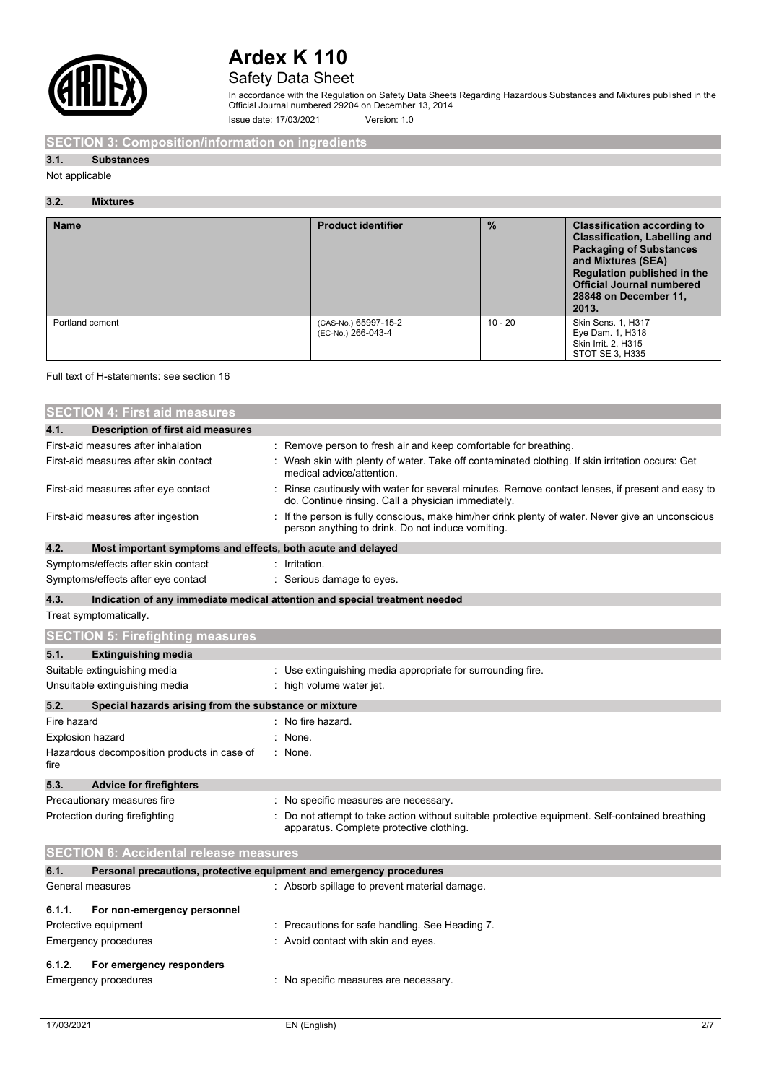

## Safety Data Sheet

In accordance with the Regulation on Safety Data Sheets Regarding Hazardous Substances and Mixtures published in the Official Journal numbered 29204 on December 13, 2014

Issue date: 17/03/2021 Version: 1.0

### **SECTION 3: Composition/information on ingredients**

### **3.1. Substances**

Not applicable

### **3.2. Mixtures**

| <b>Name</b>     | <b>Product identifier</b>                  | $\frac{9}{6}$ | <b>Classification according to</b><br><b>Classification, Labelling and</b><br><b>Packaging of Substances</b><br>and Mixtures (SEA)<br>Regulation published in the<br><b>Official Journal numbered</b><br>28848 on December 11,<br>2013. |
|-----------------|--------------------------------------------|---------------|-----------------------------------------------------------------------------------------------------------------------------------------------------------------------------------------------------------------------------------------|
| Portland cement | (CAS-No.) 65997-15-2<br>(EC-No.) 266-043-4 | $10 - 20$     | <b>Skin Sens. 1, H317</b><br>Eye Dam. 1, H318<br>Skin Irrit. 2, H315<br>STOT SE 3, H335                                                                                                                                                 |

### Full text of H-statements: see section 16

|             | <b>SECTION 4: First aid measures</b>                                |                                                                                                                                                       |
|-------------|---------------------------------------------------------------------|-------------------------------------------------------------------------------------------------------------------------------------------------------|
| 4.1.        | <b>Description of first aid measures</b>                            |                                                                                                                                                       |
|             | First-aid measures after inhalation                                 | Remove person to fresh air and keep comfortable for breathing.                                                                                        |
|             | First-aid measures after skin contact                               | Wash skin with plenty of water. Take off contaminated clothing. If skin irritation occurs: Get<br>medical advice/attention.                           |
|             | First-aid measures after eye contact                                | Rinse cautiously with water for several minutes. Remove contact lenses, if present and easy to<br>do. Continue rinsing. Call a physician immediately. |
|             | First-aid measures after ingestion                                  | If the person is fully conscious, make him/her drink plenty of water. Never give an unconscious<br>person anything to drink. Do not induce vomiting.  |
| 4.2.        | Most important symptoms and effects, both acute and delayed         |                                                                                                                                                       |
|             | Symptoms/effects after skin contact                                 | : Irritation.                                                                                                                                         |
|             | Symptoms/effects after eye contact                                  | Serious damage to eyes.                                                                                                                               |
| 4.3.        |                                                                     | Indication of any immediate medical attention and special treatment needed                                                                            |
|             | Treat symptomatically.                                              |                                                                                                                                                       |
|             | <b>SECTION 5: Firefighting measures</b>                             |                                                                                                                                                       |
| 5.1.        | <b>Extinguishing media</b>                                          |                                                                                                                                                       |
|             | Suitable extinguishing media                                        | : Use extinguishing media appropriate for surrounding fire.                                                                                           |
|             | Unsuitable extinguishing media                                      | high volume water jet.                                                                                                                                |
| 5.2.        | Special hazards arising from the substance or mixture               |                                                                                                                                                       |
| Fire hazard |                                                                     | No fire hazard.                                                                                                                                       |
|             | <b>Explosion hazard</b>                                             | None.                                                                                                                                                 |
| fire        | Hazardous decomposition products in case of                         | : None.                                                                                                                                               |
| 5.3.        | <b>Advice for firefighters</b>                                      |                                                                                                                                                       |
|             | Precautionary measures fire                                         | : No specific measures are necessary.                                                                                                                 |
|             | Protection during firefighting                                      | Do not attempt to take action without suitable protective equipment. Self-contained breathing<br>apparatus. Complete protective clothing.             |
|             | <b>SECTION 6: Accidental release measures</b>                       |                                                                                                                                                       |
| 6.1.        | Personal precautions, protective equipment and emergency procedures |                                                                                                                                                       |
|             | General measures                                                    | : Absorb spillage to prevent material damage.                                                                                                         |
| 6.1.1.      | For non-emergency personnel                                         |                                                                                                                                                       |
|             | Protective equipment                                                | Precautions for safe handling. See Heading 7.                                                                                                         |
|             | <b>Emergency procedures</b>                                         | Avoid contact with skin and eyes.                                                                                                                     |

### **6.1.2. For emergency responders**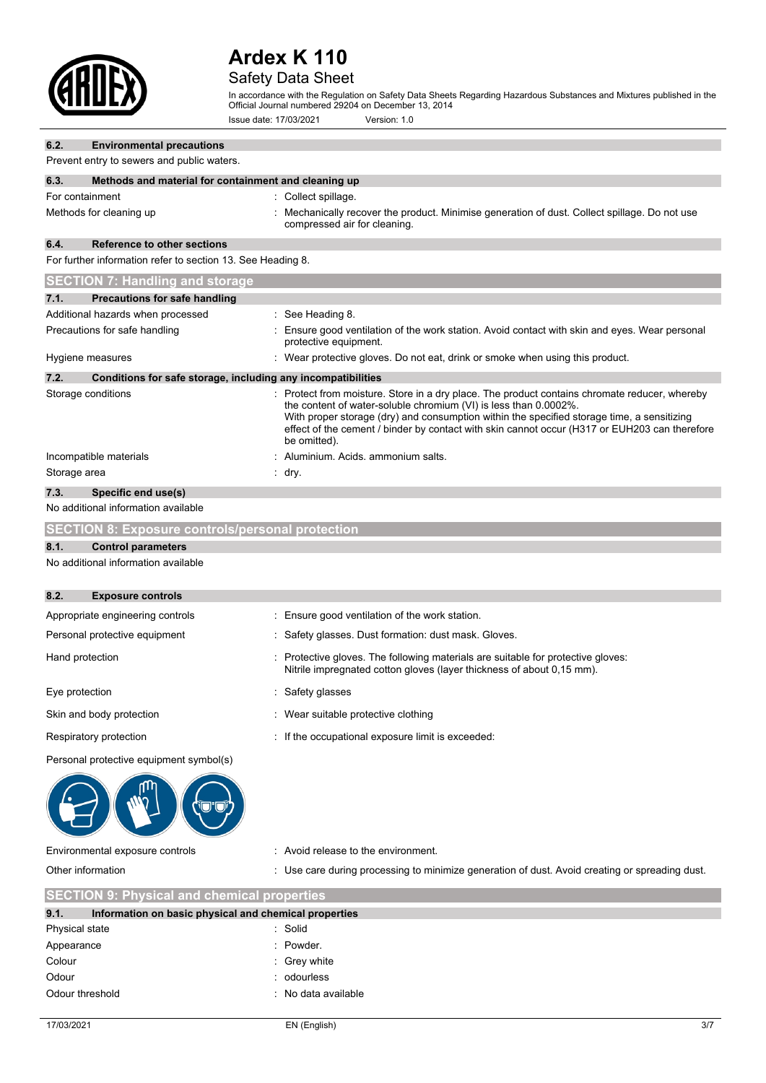

## Safety Data Sheet

In accordance with the Regulation on Safety Data Sheets Regarding Hazardous Substances and Mixtures published in the Official Journal numbered 29204 on December 13, 2014

Issue date: 17/03/2021 Version: 1.0

| 6.2.              | <b>Environmental precautions</b><br>Prevent entry to sewers and public waters.                                                                         |                                                                                                                                                                                                                                                                                                                                                                                |  |
|-------------------|--------------------------------------------------------------------------------------------------------------------------------------------------------|--------------------------------------------------------------------------------------------------------------------------------------------------------------------------------------------------------------------------------------------------------------------------------------------------------------------------------------------------------------------------------|--|
| 6.3.              | Methods and material for containment and cleaning up                                                                                                   |                                                                                                                                                                                                                                                                                                                                                                                |  |
| For containment   |                                                                                                                                                        | : Collect spillage.                                                                                                                                                                                                                                                                                                                                                            |  |
|                   | Methods for cleaning up<br>Mechanically recover the product. Minimise generation of dust. Collect spillage. Do not use<br>compressed air for cleaning. |                                                                                                                                                                                                                                                                                                                                                                                |  |
| 6.4.              | Reference to other sections                                                                                                                            |                                                                                                                                                                                                                                                                                                                                                                                |  |
|                   | For further information refer to section 13. See Heading 8.                                                                                            |                                                                                                                                                                                                                                                                                                                                                                                |  |
|                   | <b>SECTION 7: Handling and storage</b>                                                                                                                 |                                                                                                                                                                                                                                                                                                                                                                                |  |
| 7.1.              | <b>Precautions for safe handling</b>                                                                                                                   |                                                                                                                                                                                                                                                                                                                                                                                |  |
|                   | Additional hazards when processed                                                                                                                      | See Heading 8.                                                                                                                                                                                                                                                                                                                                                                 |  |
|                   | Precautions for safe handling                                                                                                                          | Ensure good ventilation of the work station. Avoid contact with skin and eyes. Wear personal<br>protective equipment.                                                                                                                                                                                                                                                          |  |
|                   | Hygiene measures                                                                                                                                       | : Wear protective gloves. Do not eat, drink or smoke when using this product.                                                                                                                                                                                                                                                                                                  |  |
| 7.2.              | Conditions for safe storage, including any incompatibilities                                                                                           |                                                                                                                                                                                                                                                                                                                                                                                |  |
|                   | Storage conditions                                                                                                                                     | Protect from moisture. Store in a dry place. The product contains chromate reducer, whereby<br>the content of water-soluble chromium (VI) is less than 0.0002%.<br>With proper storage (dry) and consumption within the specified storage time, a sensitizing<br>effect of the cement / binder by contact with skin cannot occur (H317 or EUH203 can therefore<br>be omitted). |  |
|                   | Incompatible materials                                                                                                                                 | Aluminium. Acids. ammonium salts.                                                                                                                                                                                                                                                                                                                                              |  |
| Storage area      |                                                                                                                                                        | : dry.                                                                                                                                                                                                                                                                                                                                                                         |  |
| 7.3.              | Specific end use(s)                                                                                                                                    |                                                                                                                                                                                                                                                                                                                                                                                |  |
|                   | No additional information available                                                                                                                    |                                                                                                                                                                                                                                                                                                                                                                                |  |
|                   | <b>SECTION 8: Exposure controls/personal protection</b>                                                                                                |                                                                                                                                                                                                                                                                                                                                                                                |  |
| 8.1.              | <b>Control parameters</b>                                                                                                                              |                                                                                                                                                                                                                                                                                                                                                                                |  |
|                   | No additional information available                                                                                                                    |                                                                                                                                                                                                                                                                                                                                                                                |  |
| 8.2.              | <b>Exposure controls</b>                                                                                                                               |                                                                                                                                                                                                                                                                                                                                                                                |  |
|                   | Appropriate engineering controls                                                                                                                       | Ensure good ventilation of the work station.                                                                                                                                                                                                                                                                                                                                   |  |
|                   | Personal protective equipment                                                                                                                          | Safety glasses. Dust formation: dust mask. Gloves.                                                                                                                                                                                                                                                                                                                             |  |
| Hand protection   |                                                                                                                                                        | Protective gloves. The following materials are suitable for protective gloves:<br>Nitrile impregnated cotton gloves (layer thickness of about 0,15 mm).                                                                                                                                                                                                                        |  |
| Eye protection    |                                                                                                                                                        | Safety glasses                                                                                                                                                                                                                                                                                                                                                                 |  |
|                   | Skin and body protection                                                                                                                               | Wear suitable protective clothing                                                                                                                                                                                                                                                                                                                                              |  |
|                   | Respiratory protection                                                                                                                                 | If the occupational exposure limit is exceeded:                                                                                                                                                                                                                                                                                                                                |  |
|                   | Personal protective equipment symbol(s)                                                                                                                |                                                                                                                                                                                                                                                                                                                                                                                |  |
|                   |                                                                                                                                                        |                                                                                                                                                                                                                                                                                                                                                                                |  |
|                   | Environmental exposure controls                                                                                                                        | Avoid release to the environment.                                                                                                                                                                                                                                                                                                                                              |  |
| Other information |                                                                                                                                                        | Use care during processing to minimize generation of dust. Avoid creating or spreading dust.                                                                                                                                                                                                                                                                                   |  |
|                   | <b>SECTION 9: Physical and chemical properties</b>                                                                                                     |                                                                                                                                                                                                                                                                                                                                                                                |  |
| 9.1.              | Information on basic physical and chemical properties                                                                                                  |                                                                                                                                                                                                                                                                                                                                                                                |  |

| 9.1.            | Information on basic physical and chemical properties |  |
|-----------------|-------------------------------------------------------|--|
| Physical state  | : Solid                                               |  |
| Appearance      | : Powder.                                             |  |
| Colour          | $\therefore$ Grey white                               |  |
| Odour           | : odourless                                           |  |
| Odour threshold | : No data available                                   |  |
|                 |                                                       |  |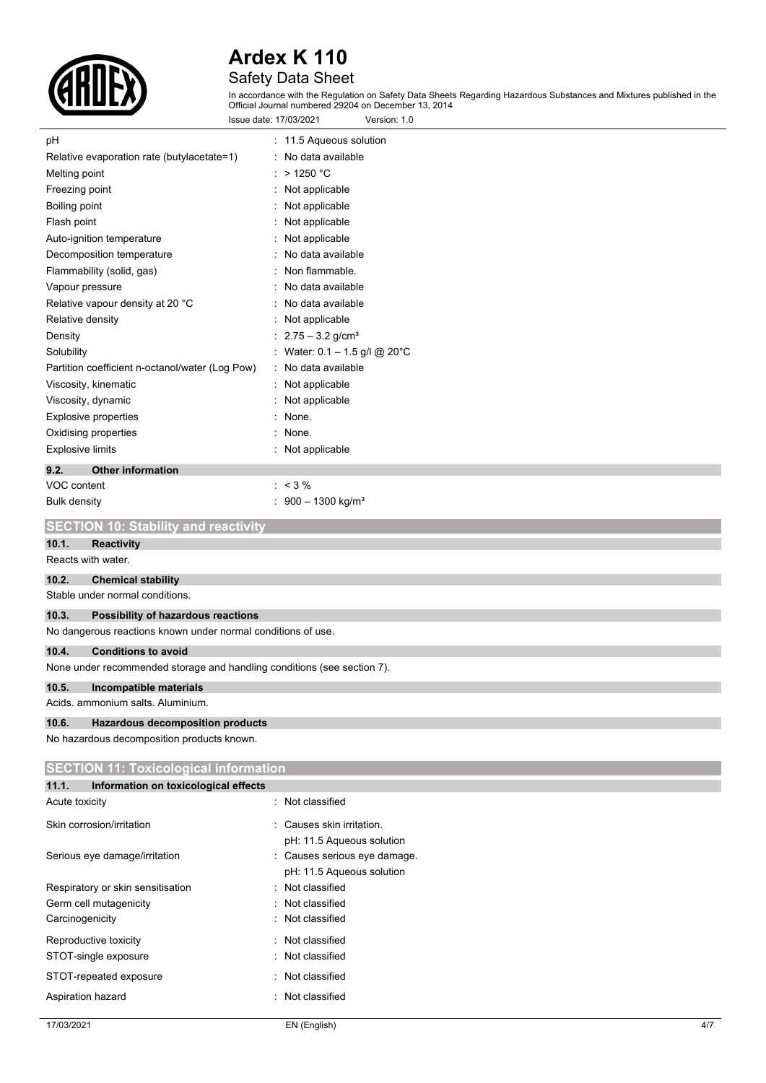

## Safety Data Sheet

In accordance with the Regulation on Safety Data Sheets Regarding Hazardous Substances and Mixtures published in the Official Journal numbered 29204 on December 13, 2014

|                                                                         | Version: 1.0<br>Issue date: 17/03/2021 |  |
|-------------------------------------------------------------------------|----------------------------------------|--|
| рH                                                                      | : 11.5 Aqueous solution                |  |
| Relative evaporation rate (butylacetate=1)                              | No data available                      |  |
| Melting point                                                           | >1250 °C                               |  |
| Freezing point                                                          | Not applicable                         |  |
| Boiling point                                                           | Not applicable                         |  |
| Flash point                                                             | Not applicable                         |  |
| Auto-ignition temperature                                               | Not applicable                         |  |
| Decomposition temperature                                               | No data available                      |  |
| Flammability (solid, gas)                                               | Non flammable.                         |  |
| Vapour pressure                                                         | No data available                      |  |
| Relative vapour density at 20 °C                                        | No data available                      |  |
| Relative density                                                        | Not applicable                         |  |
| Density                                                                 | $2.75 - 3.2$ g/cm <sup>3</sup>         |  |
| Solubility                                                              | Water: $0.1 - 1.5$ g/l @ 20°C          |  |
| Partition coefficient n-octanol/water (Log Pow)                         | : No data available                    |  |
| Viscosity, kinematic                                                    | : Not applicable                       |  |
| Viscosity, dynamic                                                      | : Not applicable                       |  |
| <b>Explosive properties</b>                                             | $\cdot$<br>None.                       |  |
| Oxidising properties                                                    | None.                                  |  |
| <b>Explosive limits</b>                                                 | : Not applicable                       |  |
| 9.2.<br><b>Other information</b>                                        |                                        |  |
| VOC content                                                             | $: 3\%$                                |  |
| Bulk density                                                            | : $900 - 1300$ kg/m <sup>3</sup>       |  |
| <b>SECTION 10: Stability and reactivity</b>                             |                                        |  |
| 10.1.<br><b>Reactivity</b>                                              |                                        |  |
| Reacts with water.                                                      |                                        |  |
| <b>Chemical stability</b><br>10.2.                                      |                                        |  |
| Stable under normal conditions.                                         |                                        |  |
| 10.3.                                                                   | Possibility of hazardous reactions     |  |
| No dangerous reactions known under normal conditions of use.            |                                        |  |
| 10.4.<br><b>Conditions to avoid</b>                                     |                                        |  |
| None under recommended storage and handling conditions (see section 7). |                                        |  |
| 10.5.<br>Incompatible materials                                         |                                        |  |
| Acids. ammonium salts. Aluminium.                                       |                                        |  |
| 10.6.<br><b>Hazardous decomposition products</b>                        |                                        |  |
| No hazardous decomposition products known.                              |                                        |  |

| <b>SECTION 11: Toxicological information</b>  |                                                           |
|-----------------------------------------------|-----------------------------------------------------------|
| 11.1.<br>Information on toxicological effects |                                                           |
| Acute toxicity                                | : Not classified                                          |
| Skin corrosion/irritation                     | : Causes skin irritation.<br>pH: 11.5 Aqueous solution    |
| Serious eye damage/irritation                 | : Causes serious eye damage.<br>pH: 11.5 Aqueous solution |
| Respiratory or skin sensitisation             | : Not classified                                          |
| Germ cell mutagenicity                        | : Not classified                                          |
| Carcinogenicity                               | : Not classified                                          |
| Reproductive toxicity                         | : Not classified                                          |
| STOT-single exposure                          | : Not classified                                          |
| STOT-repeated exposure                        | : Not classified                                          |
| Aspiration hazard                             | Not classified                                            |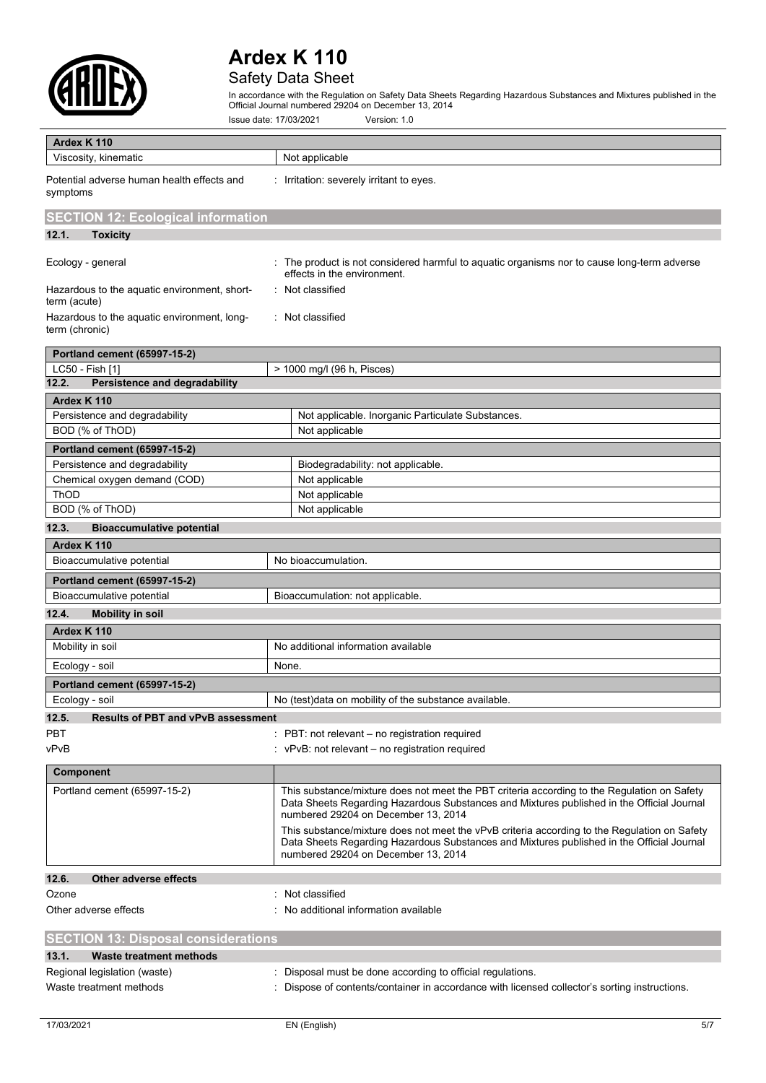

## Safety Data Sheet

In accordance with the Regulation on Safety Data Sheets Regarding Hazardous Substances and Mixtures published in the Official Journal numbered 29204 on December 13, 2014

|                                                               | Issue date: 17/03/2021<br>Version: 1.0                                                                                                                                                                                           |  |  |
|---------------------------------------------------------------|----------------------------------------------------------------------------------------------------------------------------------------------------------------------------------------------------------------------------------|--|--|
| Ardex K 110                                                   |                                                                                                                                                                                                                                  |  |  |
| Viscosity, kinematic                                          | Not applicable                                                                                                                                                                                                                   |  |  |
| Potential adverse human health effects and<br>symptoms        | : Irritation: severely irritant to eyes.                                                                                                                                                                                         |  |  |
| <b>SECTION 12: Ecological information</b>                     |                                                                                                                                                                                                                                  |  |  |
| 12.1.<br><b>Toxicity</b>                                      |                                                                                                                                                                                                                                  |  |  |
|                                                               |                                                                                                                                                                                                                                  |  |  |
| Ecology - general                                             | : The product is not considered harmful to aquatic organisms nor to cause long-term adverse<br>effects in the environment.                                                                                                       |  |  |
| Hazardous to the aquatic environment, short-<br>term (acute)  | : Not classified                                                                                                                                                                                                                 |  |  |
| Hazardous to the aquatic environment, long-<br>term (chronic) | : Not classified                                                                                                                                                                                                                 |  |  |
|                                                               |                                                                                                                                                                                                                                  |  |  |
| Portland cement (65997-15-2)                                  |                                                                                                                                                                                                                                  |  |  |
| LC50 - Fish [1]                                               | > 1000 mg/l (96 h, Pisces)                                                                                                                                                                                                       |  |  |
| <b>Persistence and degradability</b><br>12.2.                 |                                                                                                                                                                                                                                  |  |  |
| Ardex K 110                                                   |                                                                                                                                                                                                                                  |  |  |
| Persistence and degradability                                 | Not applicable. Inorganic Particulate Substances.                                                                                                                                                                                |  |  |
| BOD (% of ThOD)                                               | Not applicable                                                                                                                                                                                                                   |  |  |
| Portland cement (65997-15-2)                                  |                                                                                                                                                                                                                                  |  |  |
| Persistence and degradability                                 | Biodegradability: not applicable.                                                                                                                                                                                                |  |  |
| Chemical oxygen demand (COD)                                  | Not applicable                                                                                                                                                                                                                   |  |  |
| ThOD                                                          | Not applicable                                                                                                                                                                                                                   |  |  |
| BOD (% of ThOD)                                               | Not applicable                                                                                                                                                                                                                   |  |  |
| 12.3.<br><b>Bioaccumulative potential</b>                     |                                                                                                                                                                                                                                  |  |  |
| Ardex K 110                                                   |                                                                                                                                                                                                                                  |  |  |
| Bioaccumulative potential                                     | No bioaccumulation.                                                                                                                                                                                                              |  |  |
| Portland cement (65997-15-2)                                  |                                                                                                                                                                                                                                  |  |  |
| Bioaccumulative potential                                     | Bioaccumulation: not applicable.                                                                                                                                                                                                 |  |  |
| 12.4.<br><b>Mobility in soil</b>                              |                                                                                                                                                                                                                                  |  |  |
| Ardex K 110                                                   |                                                                                                                                                                                                                                  |  |  |
| Mobility in soil                                              | No additional information available                                                                                                                                                                                              |  |  |
| Ecology - soil                                                | None.                                                                                                                                                                                                                            |  |  |
|                                                               |                                                                                                                                                                                                                                  |  |  |
| <b>Portland cement (65997-15-2)</b>                           |                                                                                                                                                                                                                                  |  |  |
| Ecology - soil                                                | No (test) data on mobility of the substance available.                                                                                                                                                                           |  |  |
| <b>Results of PBT and vPvB assessment</b><br>12.5.            |                                                                                                                                                                                                                                  |  |  |
| PBT                                                           | $\therefore$ PBT: not relevant – no registration required                                                                                                                                                                        |  |  |
| vPvB                                                          | : $vPvB$ : not relevant – no registration required                                                                                                                                                                               |  |  |
| Component                                                     |                                                                                                                                                                                                                                  |  |  |
| Portland cement (65997-15-2)                                  | This substance/mixture does not meet the PBT criteria according to the Regulation on Safety<br>Data Sheets Regarding Hazardous Substances and Mixtures published in the Official Journal<br>numbered 29204 on December 13, 2014  |  |  |
|                                                               | This substance/mixture does not meet the vPvB criteria according to the Regulation on Safety<br>Data Sheets Regarding Hazardous Substances and Mixtures published in the Official Journal<br>numbered 29204 on December 13, 2014 |  |  |
| 12.6.<br>Other adverse effects                                |                                                                                                                                                                                                                                  |  |  |
| Ozone                                                         | : Not classified                                                                                                                                                                                                                 |  |  |
| Other adverse effects                                         | : No additional information available                                                                                                                                                                                            |  |  |
|                                                               |                                                                                                                                                                                                                                  |  |  |
| <b>SECTION 13: Disposal considerations</b>                    |                                                                                                                                                                                                                                  |  |  |
| 13.1.<br><b>Waste treatment methods</b>                       |                                                                                                                                                                                                                                  |  |  |

| <b>13.1.</b><br>waste treatment methods |                                                                                             |
|-----------------------------------------|---------------------------------------------------------------------------------------------|
| Regional legislation (waste)            | Disposal must be done according to official regulations.                                    |
| Waste treatment methods                 | Dispose of contents/container in accordance with licensed collector's sorting instructions. |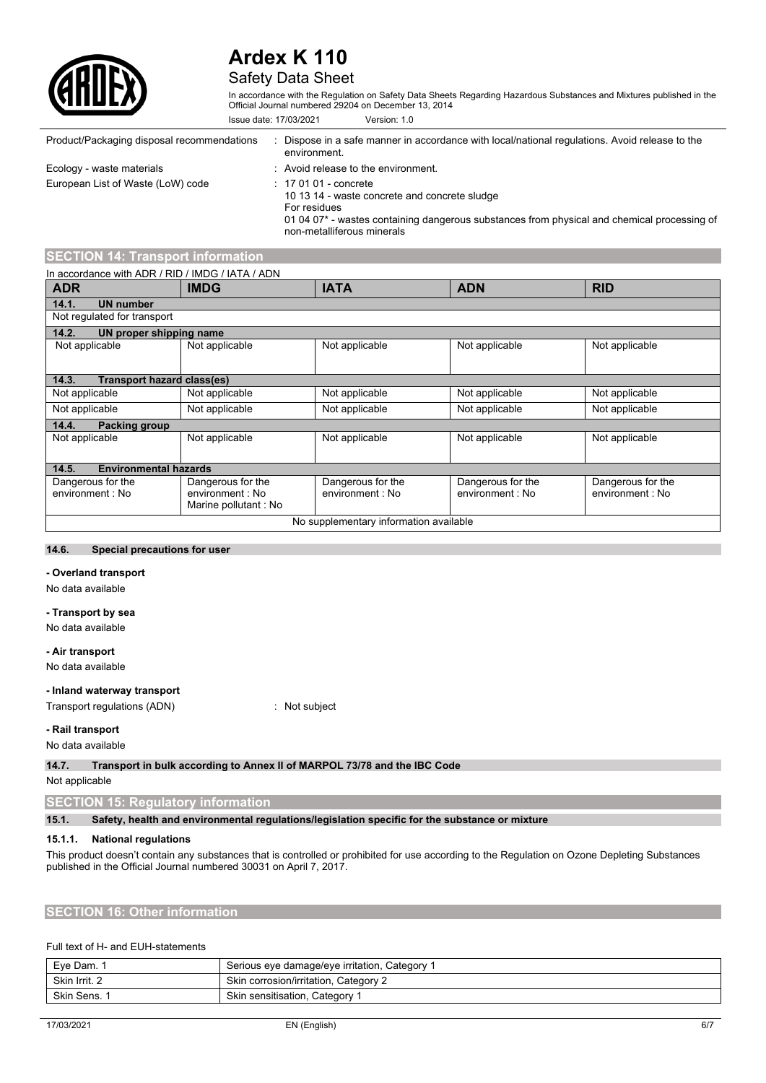

### Safety Data Sheet

In accordance with the Regulation on Safety Data Sheets Regarding Hazardous Substances and Mixtures published in the Official Journal numbered 29204 on December 13, 2014

| Version: 1.0<br>Issue date: 17/03/2021     |                                                                                                                                                                                                                                 |  |
|--------------------------------------------|---------------------------------------------------------------------------------------------------------------------------------------------------------------------------------------------------------------------------------|--|
| Product/Packaging disposal recommendations | Dispose in a safe manner in accordance with local/national regulations. Avoid release to the<br>environment.                                                                                                                    |  |
| Ecology - waste materials                  | : Avoid release to the environment.                                                                                                                                                                                             |  |
| European List of Waste (LoW) code          | $: 170101$ - concrete<br>10 13 14 - waste concrete and concrete sludge<br>For residues<br>01 04 07 <sup>*</sup> - wastes containing dangerous substances from physical and chemical processing of<br>non-metalliferous minerals |  |

### **SECTION 14: Transport information**

| In accordance with ADR / RID / IMDG / IATA / ADN |                      |                   |                   |                   |
|--------------------------------------------------|----------------------|-------------------|-------------------|-------------------|
| <b>ADR</b>                                       | <b>IMDG</b>          | <b>IATA</b>       | <b>ADN</b>        | <b>RID</b>        |
| 14.1.<br><b>UN number</b>                        |                      |                   |                   |                   |
| Not regulated for transport                      |                      |                   |                   |                   |
| 14.2.<br>UN proper shipping name                 |                      |                   |                   |                   |
| Not applicable                                   | Not applicable       | Not applicable    | Not applicable    | Not applicable    |
|                                                  |                      |                   |                   |                   |
| Transport hazard class(es)<br>14.3.              |                      |                   |                   |                   |
| Not applicable                                   | Not applicable       | Not applicable    | Not applicable    | Not applicable    |
| Not applicable                                   | Not applicable       | Not applicable    | Not applicable    | Not applicable    |
| 14.4.<br><b>Packing group</b>                    |                      |                   |                   |                   |
| Not applicable                                   | Not applicable       | Not applicable    | Not applicable    | Not applicable    |
|                                                  |                      |                   |                   |                   |
| <b>Environmental hazards</b><br>14.5.            |                      |                   |                   |                   |
| Dangerous for the                                | Dangerous for the    | Dangerous for the | Dangerous for the | Dangerous for the |
| environment : No                                 | environment : No     | environment : No  | environment : No  | environment : No  |
|                                                  | Marine pollutant: No |                   |                   |                   |
| No supplementary information available           |                      |                   |                   |                   |

### **14.6. Special precautions for user**

#### **- Overland transport**

No data available

### **- Transport by sea**

No data available

### **- Air transport**

No data available

### **- Inland waterway transport**

Transport regulations (ADN) : Not subject

### **- Rail transport**

No data available

**14.7. Transport in bulk according to Annex II of MARPOL 73/78 and the IBC Code**

Not applicable

**SECTION 15: Regulatory information**

**15.1. Safety, health and environmental regulations/legislation specific for the substance or mixture**

#### **15.1.1. National regulations**

This product doesn't contain any substances that is controlled or prohibited for use according to the Regulation on Ozone Depleting Substances published in the Official Journal numbered 30031 on April 7, 2017.

### **SECTION 16: Other information**

### Full text of H- and EUH-statements

| Eve Dam.      | Serious eye damage/eye irritation, Category |
|---------------|---------------------------------------------|
| Skin Irrit. 2 | Skin corrosion/irritation, Category 2       |
| Skin Sens.    | Skin sensitisation, Category                |